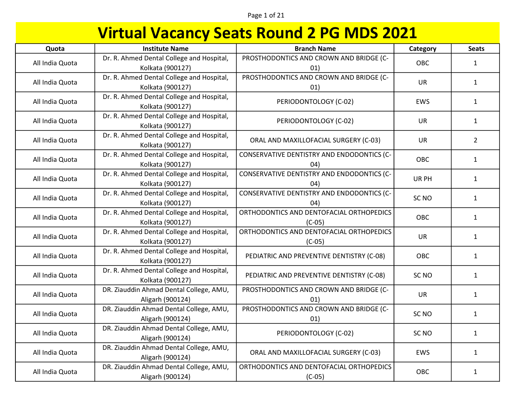### Page 1 of 21

| Quota           | <b>Institute Name</b>                                         | <b>Branch Name</b>                                   | Category         | <b>Seats</b>   |
|-----------------|---------------------------------------------------------------|------------------------------------------------------|------------------|----------------|
| All India Quota | Dr. R. Ahmed Dental College and Hospital,<br>Kolkata (900127) | PROSTHODONTICS AND CROWN AND BRIDGE (C-<br>01)       | OBC              | 1              |
| All India Quota | Dr. R. Ahmed Dental College and Hospital,<br>Kolkata (900127) | PROSTHODONTICS AND CROWN AND BRIDGE (C-<br>01)       | <b>UR</b>        | $\mathbf{1}$   |
| All India Quota | Dr. R. Ahmed Dental College and Hospital,<br>Kolkata (900127) | PERIODONTOLOGY (C-02)                                | <b>EWS</b>       | $\mathbf{1}$   |
| All India Quota | Dr. R. Ahmed Dental College and Hospital,<br>Kolkata (900127) | PERIODONTOLOGY (C-02)                                | <b>UR</b>        | $\mathbf{1}$   |
| All India Quota | Dr. R. Ahmed Dental College and Hospital,<br>Kolkata (900127) | ORAL AND MAXILLOFACIAL SURGERY (C-03)                | <b>UR</b>        | $\overline{2}$ |
| All India Quota | Dr. R. Ahmed Dental College and Hospital,<br>Kolkata (900127) | CONSERVATIVE DENTISTRY AND ENDODONTICS (C-<br>04)    | OBC              | $\mathbf{1}$   |
| All India Quota | Dr. R. Ahmed Dental College and Hospital,<br>Kolkata (900127) | CONSERVATIVE DENTISTRY AND ENDODONTICS (C-<br>04)    | UR PH            | $\mathbf{1}$   |
| All India Quota | Dr. R. Ahmed Dental College and Hospital,<br>Kolkata (900127) | CONSERVATIVE DENTISTRY AND ENDODONTICS (C-<br>(04)   | SC <sub>NO</sub> | $\mathbf{1}$   |
| All India Quota | Dr. R. Ahmed Dental College and Hospital,<br>Kolkata (900127) | ORTHODONTICS AND DENTOFACIAL ORTHOPEDICS<br>$(C-05)$ | OBC              | $\mathbf{1}$   |
| All India Quota | Dr. R. Ahmed Dental College and Hospital,<br>Kolkata (900127) | ORTHODONTICS AND DENTOFACIAL ORTHOPEDICS<br>$(C-05)$ | <b>UR</b>        | $\mathbf{1}$   |
| All India Quota | Dr. R. Ahmed Dental College and Hospital,<br>Kolkata (900127) | PEDIATRIC AND PREVENTIVE DENTISTRY (C-08)            | OBC              | $\mathbf{1}$   |
| All India Quota | Dr. R. Ahmed Dental College and Hospital,<br>Kolkata (900127) | PEDIATRIC AND PREVENTIVE DENTISTRY (C-08)            | SC <sub>NO</sub> | $\mathbf{1}$   |
| All India Quota | DR. Ziauddin Ahmad Dental College, AMU,<br>Aligarh (900124)   | PROSTHODONTICS AND CROWN AND BRIDGE (C-<br>01)       | <b>UR</b>        | $\mathbf{1}$   |
| All India Quota | DR. Ziauddin Ahmad Dental College, AMU,<br>Aligarh (900124)   | PROSTHODONTICS AND CROWN AND BRIDGE (C-<br>01)       | SC <sub>NO</sub> | $\mathbf{1}$   |
| All India Quota | DR. Ziauddin Ahmad Dental College, AMU,<br>Aligarh (900124)   | PERIODONTOLOGY (C-02)                                | SC <sub>NO</sub> | $\mathbf{1}$   |
| All India Quota | DR. Ziauddin Ahmad Dental College, AMU,<br>Aligarh (900124)   | ORAL AND MAXILLOFACIAL SURGERY (C-03)                | EWS              | $\mathbf{1}$   |
| All India Quota | DR. Ziauddin Ahmad Dental College, AMU,<br>Aligarh (900124)   | ORTHODONTICS AND DENTOFACIAL ORTHOPEDICS<br>$(C-05)$ | OBC              | $\mathbf{1}$   |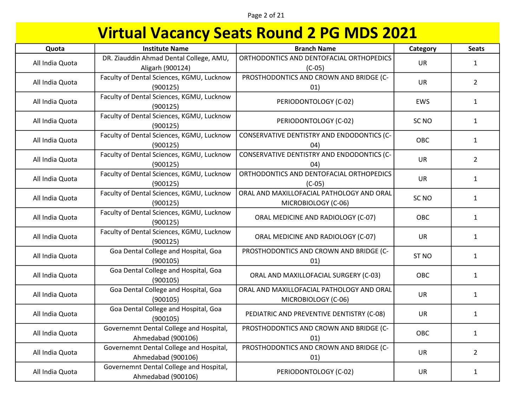### Page 2 of 21

| Quota           | <b>Institute Name</b>                                         | <b>Branch Name</b>                                               | Category         | <b>Seats</b>   |
|-----------------|---------------------------------------------------------------|------------------------------------------------------------------|------------------|----------------|
| All India Quota | DR. Ziauddin Ahmad Dental College, AMU,<br>Aligarh (900124)   | ORTHODONTICS AND DENTOFACIAL ORTHOPEDICS<br>$(C-05)$             | UR               | $\mathbf{1}$   |
| All India Quota | Faculty of Dental Sciences, KGMU, Lucknow<br>(900125)         | PROSTHODONTICS AND CROWN AND BRIDGE (C-<br>01)                   | <b>UR</b>        | $\overline{2}$ |
| All India Quota | Faculty of Dental Sciences, KGMU, Lucknow<br>(900125)         | PERIODONTOLOGY (C-02)                                            | EWS              | $\mathbf{1}$   |
| All India Quota | Faculty of Dental Sciences, KGMU, Lucknow<br>(900125)         | PERIODONTOLOGY (C-02)                                            | SC <sub>NO</sub> | $\mathbf{1}$   |
| All India Quota | Faculty of Dental Sciences, KGMU, Lucknow<br>(900125)         | CONSERVATIVE DENTISTRY AND ENDODONTICS (C-<br>(04)               | OBC              | $\mathbf{1}$   |
| All India Quota | Faculty of Dental Sciences, KGMU, Lucknow<br>(900125)         | CONSERVATIVE DENTISTRY AND ENDODONTICS (C-<br>04)                | <b>UR</b>        | $\overline{2}$ |
| All India Quota | Faculty of Dental Sciences, KGMU, Lucknow<br>(900125)         | ORTHODONTICS AND DENTOFACIAL ORTHOPEDICS<br>$(C-05)$             | UR               | $\mathbf{1}$   |
| All India Quota | Faculty of Dental Sciences, KGMU, Lucknow<br>(900125)         | ORAL AND MAXILLOFACIAL PATHOLOGY AND ORAL<br>MICROBIOLOGY (C-06) | SC <sub>NO</sub> | $\mathbf{1}$   |
| All India Quota | Faculty of Dental Sciences, KGMU, Lucknow<br>(900125)         | ORAL MEDICINE AND RADIOLOGY (C-07)                               | <b>OBC</b>       | $\mathbf{1}$   |
| All India Quota | Faculty of Dental Sciences, KGMU, Lucknow<br>(900125)         | ORAL MEDICINE AND RADIOLOGY (C-07)                               | <b>UR</b>        | $\mathbf{1}$   |
| All India Quota | Goa Dental College and Hospital, Goa<br>(900105)              | PROSTHODONTICS AND CROWN AND BRIDGE (C-<br>01)                   | ST <sub>NO</sub> | $\mathbf{1}$   |
| All India Quota | Goa Dental College and Hospital, Goa<br>(900105)              | ORAL AND MAXILLOFACIAL SURGERY (C-03)                            | <b>OBC</b>       | $\mathbf{1}$   |
| All India Quota | Goa Dental College and Hospital, Goa<br>(900105)              | ORAL AND MAXILLOFACIAL PATHOLOGY AND ORAL<br>MICROBIOLOGY (C-06) | <b>UR</b>        | $\mathbf{1}$   |
| All India Quota | Goa Dental College and Hospital, Goa<br>(900105)              | PEDIATRIC AND PREVENTIVE DENTISTRY (C-08)                        | <b>UR</b>        | $\mathbf{1}$   |
| All India Quota | Governemnt Dental College and Hospital,<br>Ahmedabad (900106) | PROSTHODONTICS AND CROWN AND BRIDGE (C-<br>01)                   | OBC              | $\mathbf{1}$   |
| All India Quota | Governemnt Dental College and Hospital,<br>Ahmedabad (900106) | PROSTHODONTICS AND CROWN AND BRIDGE (C-<br>01)                   | <b>UR</b>        | $\overline{2}$ |
| All India Quota | Governemnt Dental College and Hospital,<br>Ahmedabad (900106) | PERIODONTOLOGY (C-02)                                            | <b>UR</b>        | $\mathbf{1}$   |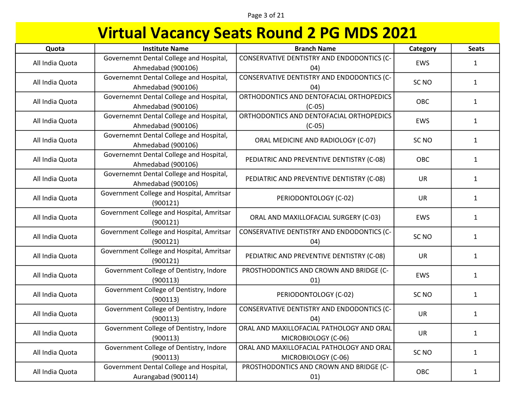### Page 3 of 21

| Quota           | <b>Institute Name</b>                                          | <b>Branch Name</b>                                               | Category         | <b>Seats</b> |
|-----------------|----------------------------------------------------------------|------------------------------------------------------------------|------------------|--------------|
| All India Quota | Governemnt Dental College and Hospital,<br>Ahmedabad (900106)  | CONSERVATIVE DENTISTRY AND ENDODONTICS (C-<br>(04)               | EWS              | $\mathbf{1}$ |
| All India Quota | Governemnt Dental College and Hospital,<br>Ahmedabad (900106)  | CONSERVATIVE DENTISTRY AND ENDODONTICS (C-<br>04)                | SC <sub>NO</sub> | $\mathbf{1}$ |
| All India Quota | Governemnt Dental College and Hospital,<br>Ahmedabad (900106)  | ORTHODONTICS AND DENTOFACIAL ORTHOPEDICS<br>$(C-05)$             | OBC              | $\mathbf{1}$ |
| All India Quota | Governemnt Dental College and Hospital,<br>Ahmedabad (900106)  | ORTHODONTICS AND DENTOFACIAL ORTHOPEDICS<br>$(C-05)$             | EWS              | $\mathbf{1}$ |
| All India Quota | Governemnt Dental College and Hospital,<br>Ahmedabad (900106)  | ORAL MEDICINE AND RADIOLOGY (C-07)                               | SC <sub>NO</sub> | $\mathbf{1}$ |
| All India Quota | Governemnt Dental College and Hospital,<br>Ahmedabad (900106)  | PEDIATRIC AND PREVENTIVE DENTISTRY (C-08)                        | OBC              | $\mathbf{1}$ |
| All India Quota | Governemnt Dental College and Hospital,<br>Ahmedabad (900106)  | PEDIATRIC AND PREVENTIVE DENTISTRY (C-08)                        | <b>UR</b>        | $\mathbf{1}$ |
| All India Quota | Government College and Hospital, Amritsar<br>(900121)          | PERIODONTOLOGY (C-02)                                            | UR               | $\mathbf{1}$ |
| All India Quota | Government College and Hospital, Amritsar<br>(900121)          | ORAL AND MAXILLOFACIAL SURGERY (C-03)                            | EWS              | $\mathbf{1}$ |
| All India Quota | Government College and Hospital, Amritsar<br>(900121)          | CONSERVATIVE DENTISTRY AND ENDODONTICS (C-<br>04)                | SC <sub>NO</sub> | $\mathbf{1}$ |
| All India Quota | Government College and Hospital, Amritsar<br>(900121)          | PEDIATRIC AND PREVENTIVE DENTISTRY (C-08)                        | <b>UR</b>        | $\mathbf{1}$ |
| All India Quota | Government College of Dentistry, Indore<br>(900113)            | PROSTHODONTICS AND CROWN AND BRIDGE (C-<br>01)                   | EWS              | $\mathbf{1}$ |
| All India Quota | Government College of Dentistry, Indore<br>(900113)            | PERIODONTOLOGY (C-02)                                            | SC <sub>NO</sub> | $\mathbf{1}$ |
| All India Quota | Government College of Dentistry, Indore<br>(900113)            | CONSERVATIVE DENTISTRY AND ENDODONTICS (C-<br>04)                | UR               | $\mathbf{1}$ |
| All India Quota | Government College of Dentistry, Indore<br>(900113)            | ORAL AND MAXILLOFACIAL PATHOLOGY AND ORAL<br>MICROBIOLOGY (C-06) | <b>UR</b>        | $\mathbf{1}$ |
| All India Quota | Government College of Dentistry, Indore<br>(900113)            | ORAL AND MAXILLOFACIAL PATHOLOGY AND ORAL<br>MICROBIOLOGY (C-06) | SC <sub>NO</sub> | $\mathbf{1}$ |
| All India Quota | Government Dental College and Hospital,<br>Aurangabad (900114) | PROSTHODONTICS AND CROWN AND BRIDGE (C-<br>01)                   | OBC              | $\mathbf{1}$ |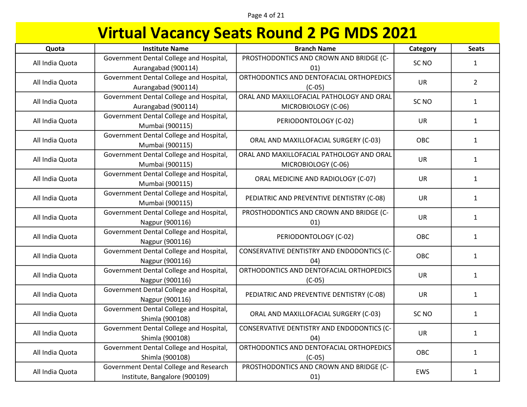Page 4 of 21

| Quota           | <b>Institute Name</b>                                                   | <b>Branch Name</b>                                               | Category         | <b>Seats</b> |
|-----------------|-------------------------------------------------------------------------|------------------------------------------------------------------|------------------|--------------|
| All India Quota | Government Dental College and Hospital,<br>Aurangabad (900114)          | PROSTHODONTICS AND CROWN AND BRIDGE (C-<br>01)                   | SC <sub>NO</sub> | $\mathbf{1}$ |
| All India Quota | Government Dental College and Hospital,<br>Aurangabad (900114)          | ORTHODONTICS AND DENTOFACIAL ORTHOPEDICS<br>$(C-05)$             | <b>UR</b>        | $2^{\circ}$  |
| All India Quota | Government Dental College and Hospital,<br>Aurangabad (900114)          | ORAL AND MAXILLOFACIAL PATHOLOGY AND ORAL<br>MICROBIOLOGY (C-06) | SC <sub>NO</sub> | $\mathbf{1}$ |
| All India Quota | Government Dental College and Hospital,<br>Mumbai (900115)              | PERIODONTOLOGY (C-02)                                            | <b>UR</b>        | $\mathbf{1}$ |
| All India Quota | Government Dental College and Hospital,<br>Mumbai (900115)              | ORAL AND MAXILLOFACIAL SURGERY (C-03)                            | <b>OBC</b>       | $\mathbf{1}$ |
| All India Quota | Government Dental College and Hospital,<br>Mumbai (900115)              | ORAL AND MAXILLOFACIAL PATHOLOGY AND ORAL<br>MICROBIOLOGY (C-06) | UR               | $\mathbf{1}$ |
| All India Quota | Government Dental College and Hospital,<br>Mumbai (900115)              | ORAL MEDICINE AND RADIOLOGY (C-07)                               | <b>UR</b>        | $\mathbf{1}$ |
| All India Quota | Government Dental College and Hospital,<br>Mumbai (900115)              | PEDIATRIC AND PREVENTIVE DENTISTRY (C-08)                        | <b>UR</b>        | $\mathbf{1}$ |
| All India Quota | Government Dental College and Hospital,<br>Nagpur (900116)              | PROSTHODONTICS AND CROWN AND BRIDGE (C-<br>01)                   | <b>UR</b>        | $\mathbf{1}$ |
| All India Quota | Government Dental College and Hospital,<br>Nagpur (900116)              | PERIODONTOLOGY (C-02)                                            | OBC              | $\mathbf{1}$ |
| All India Quota | Government Dental College and Hospital,<br>Nagpur (900116)              | CONSERVATIVE DENTISTRY AND ENDODONTICS (C-<br>(04)               | <b>OBC</b>       | $\mathbf{1}$ |
| All India Quota | Government Dental College and Hospital,<br>Nagpur (900116)              | ORTHODONTICS AND DENTOFACIAL ORTHOPEDICS<br>$(C-05)$             | UR               | $\mathbf{1}$ |
| All India Quota | Government Dental College and Hospital,<br>Nagpur (900116)              | PEDIATRIC AND PREVENTIVE DENTISTRY (C-08)                        | <b>UR</b>        | $\mathbf{1}$ |
| All India Quota | Government Dental College and Hospital,<br>Shimla (900108)              | ORAL AND MAXILLOFACIAL SURGERY (C-03)                            | SC <sub>NO</sub> | $\mathbf{1}$ |
| All India Quota | Government Dental College and Hospital,<br>Shimla (900108)              | CONSERVATIVE DENTISTRY AND ENDODONTICS (C-<br>04)                | <b>UR</b>        | $\mathbf{1}$ |
| All India Quota | Government Dental College and Hospital,<br>Shimla (900108)              | ORTHODONTICS AND DENTOFACIAL ORTHOPEDICS<br>$(C-05)$             | OBC              | $\mathbf{1}$ |
| All India Quota | Government Dental College and Research<br>Institute, Bangalore (900109) | PROSTHODONTICS AND CROWN AND BRIDGE (C-<br>01)                   | EWS              | $\mathbf{1}$ |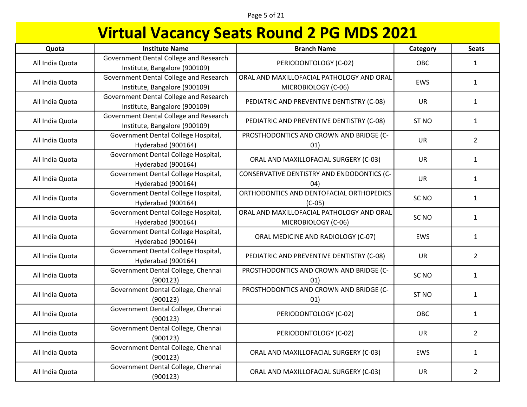Page 5 of 21

| Quota           | <b>Institute Name</b>                                                   | <b>Branch Name</b>                                               | Category         | <b>Seats</b>   |
|-----------------|-------------------------------------------------------------------------|------------------------------------------------------------------|------------------|----------------|
| All India Quota | Government Dental College and Research<br>Institute, Bangalore (900109) | PERIODONTOLOGY (C-02)                                            | OBC              | $\mathbf{1}$   |
| All India Quota | Government Dental College and Research<br>Institute, Bangalore (900109) | ORAL AND MAXILLOFACIAL PATHOLOGY AND ORAL<br>MICROBIOLOGY (C-06) | EWS              | $\mathbf{1}$   |
| All India Quota | Government Dental College and Research<br>Institute, Bangalore (900109) | PEDIATRIC AND PREVENTIVE DENTISTRY (C-08)                        | <b>UR</b>        | $\mathbf{1}$   |
| All India Quota | Government Dental College and Research<br>Institute, Bangalore (900109) | PEDIATRIC AND PREVENTIVE DENTISTRY (C-08)                        | ST <sub>NO</sub> | $\mathbf{1}$   |
| All India Quota | Government Dental College Hospital,<br>Hyderabad (900164)               | PROSTHODONTICS AND CROWN AND BRIDGE (C-<br>01)                   | <b>UR</b>        | $\overline{2}$ |
| All India Quota | Government Dental College Hospital,<br>Hyderabad (900164)               | ORAL AND MAXILLOFACIAL SURGERY (C-03)                            | <b>UR</b>        | $\mathbf{1}$   |
| All India Quota | Government Dental College Hospital,<br>Hyderabad (900164)               | CONSERVATIVE DENTISTRY AND ENDODONTICS (C-<br>04)                | UR               | $\mathbf{1}$   |
| All India Quota | Government Dental College Hospital,<br>Hyderabad (900164)               | ORTHODONTICS AND DENTOFACIAL ORTHOPEDICS<br>$(C-05)$             | SC <sub>NO</sub> | $\mathbf{1}$   |
| All India Quota | Government Dental College Hospital,<br>Hyderabad (900164)               | ORAL AND MAXILLOFACIAL PATHOLOGY AND ORAL<br>MICROBIOLOGY (C-06) | SC <sub>NO</sub> | $\mathbf{1}$   |
| All India Quota | Government Dental College Hospital,<br>Hyderabad (900164)               | ORAL MEDICINE AND RADIOLOGY (C-07)                               | <b>EWS</b>       | $\mathbf{1}$   |
| All India Quota | Government Dental College Hospital,<br>Hyderabad (900164)               | PEDIATRIC AND PREVENTIVE DENTISTRY (C-08)                        | <b>UR</b>        | $\overline{2}$ |
| All India Quota | Government Dental College, Chennai<br>(900123)                          | PROSTHODONTICS AND CROWN AND BRIDGE (C-<br>01)                   | SC <sub>NO</sub> | $\mathbf{1}$   |
| All India Quota | Government Dental College, Chennai<br>(900123)                          | PROSTHODONTICS AND CROWN AND BRIDGE (C-<br>01)                   | ST <sub>NO</sub> | $\mathbf{1}$   |
| All India Quota | Government Dental College, Chennai<br>(900123)                          | PERIODONTOLOGY (C-02)                                            | OBC              | $\mathbf{1}$   |
| All India Quota | Government Dental College, Chennai<br>(900123)                          | PERIODONTOLOGY (C-02)                                            | <b>UR</b>        | $\overline{2}$ |
| All India Quota | Government Dental College, Chennai<br>(900123)                          | ORAL AND MAXILLOFACIAL SURGERY (C-03)                            | EWS              | $\mathbf{1}$   |
| All India Quota | Government Dental College, Chennai<br>(900123)                          | ORAL AND MAXILLOFACIAL SURGERY (C-03)                            | <b>UR</b>        | $\overline{2}$ |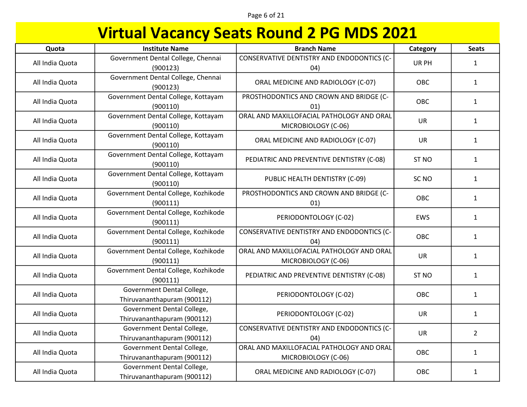### Page 6 of 21

| Quota           | <b>Institute Name</b>                                     | <b>Branch Name</b>                                               | Category         | <b>Seats</b>   |
|-----------------|-----------------------------------------------------------|------------------------------------------------------------------|------------------|----------------|
| All India Quota | Government Dental College, Chennai<br>(900123)            | CONSERVATIVE DENTISTRY AND ENDODONTICS (C-<br>(04)               | UR PH            | $\mathbf{1}$   |
| All India Quota | Government Dental College, Chennai<br>(900123)            | ORAL MEDICINE AND RADIOLOGY (C-07)                               | OBC              | $\mathbf{1}$   |
| All India Quota | Government Dental College, Kottayam<br>(900110)           | PROSTHODONTICS AND CROWN AND BRIDGE (C-<br>01)                   | OBC              | $\mathbf{1}$   |
| All India Quota | Government Dental College, Kottayam<br>(900110)           | ORAL AND MAXILLOFACIAL PATHOLOGY AND ORAL<br>MICROBIOLOGY (C-06) | <b>UR</b>        | $\mathbf{1}$   |
| All India Quota | Government Dental College, Kottayam<br>(900110)           | ORAL MEDICINE AND RADIOLOGY (C-07)                               | <b>UR</b>        | $\mathbf{1}$   |
| All India Quota | Government Dental College, Kottayam<br>(900110)           | PEDIATRIC AND PREVENTIVE DENTISTRY (C-08)                        | ST <sub>NO</sub> | $\mathbf{1}$   |
| All India Quota | Government Dental College, Kottayam<br>(900110)           | PUBLIC HEALTH DENTISTRY (C-09)                                   | SC <sub>NO</sub> | $\mathbf{1}$   |
| All India Quota | Government Dental College, Kozhikode<br>(900111)          | PROSTHODONTICS AND CROWN AND BRIDGE (C-<br>01)                   | OBC              | $\mathbf{1}$   |
| All India Quota | Government Dental College, Kozhikode<br>(900111)          | PERIODONTOLOGY (C-02)                                            | <b>EWS</b>       | $\mathbf{1}$   |
| All India Quota | Government Dental College, Kozhikode<br>(900111)          | CONSERVATIVE DENTISTRY AND ENDODONTICS (C-<br>(04)               | OBC              | $\mathbf{1}$   |
| All India Quota | Government Dental College, Kozhikode<br>(900111)          | ORAL AND MAXILLOFACIAL PATHOLOGY AND ORAL<br>MICROBIOLOGY (C-06) | UR               | $\mathbf{1}$   |
| All India Quota | Government Dental College, Kozhikode<br>(900111)          | PEDIATRIC AND PREVENTIVE DENTISTRY (C-08)                        | ST <sub>NO</sub> | $\mathbf{1}$   |
| All India Quota | Government Dental College,<br>Thiruvananthapuram (900112) | PERIODONTOLOGY (C-02)                                            | OBC              | $\mathbf{1}$   |
| All India Quota | Government Dental College,<br>Thiruvananthapuram (900112) | PERIODONTOLOGY (C-02)                                            | <b>UR</b>        | $\mathbf{1}$   |
| All India Quota | Government Dental College,<br>Thiruvananthapuram (900112) | CONSERVATIVE DENTISTRY AND ENDODONTICS (C-<br>04)                | <b>UR</b>        | $\overline{2}$ |
| All India Quota | Government Dental College,<br>Thiruvananthapuram (900112) | ORAL AND MAXILLOFACIAL PATHOLOGY AND ORAL<br>MICROBIOLOGY (C-06) | OBC              | $\mathbf{1}$   |
| All India Quota | Government Dental College,<br>Thiruvananthapuram (900112) | ORAL MEDICINE AND RADIOLOGY (C-07)                               | OBC              | $\mathbf{1}$   |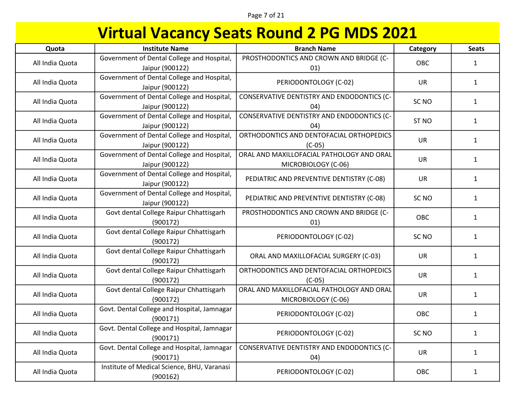### Page 7 of 21

| Quota           | <b>Institute Name</b>                                         | <b>Branch Name</b>                                               | Category         | <b>Seats</b> |
|-----------------|---------------------------------------------------------------|------------------------------------------------------------------|------------------|--------------|
| All India Quota | Government of Dental College and Hospital,<br>Jaipur (900122) | PROSTHODONTICS AND CROWN AND BRIDGE (C-<br>01)                   | OBC              | 1            |
| All India Quota | Government of Dental College and Hospital,<br>Jaipur (900122) | PERIODONTOLOGY (C-02)                                            | <b>UR</b>        | $\mathbf{1}$ |
| All India Quota | Government of Dental College and Hospital,<br>Jaipur (900122) | CONSERVATIVE DENTISTRY AND ENDODONTICS (C-<br>(04)               | SC <sub>NO</sub> | $\mathbf{1}$ |
| All India Quota | Government of Dental College and Hospital,<br>Jaipur (900122) | CONSERVATIVE DENTISTRY AND ENDODONTICS (C-<br>04)                | ST <sub>NO</sub> | $\mathbf{1}$ |
| All India Quota | Government of Dental College and Hospital,<br>Jaipur (900122) | ORTHODONTICS AND DENTOFACIAL ORTHOPEDICS<br>$(C-05)$             | UR               | $\mathbf{1}$ |
| All India Quota | Government of Dental College and Hospital,<br>Jaipur (900122) | ORAL AND MAXILLOFACIAL PATHOLOGY AND ORAL<br>MICROBIOLOGY (C-06) | UR               | $\mathbf{1}$ |
| All India Quota | Government of Dental College and Hospital,<br>Jaipur (900122) | PEDIATRIC AND PREVENTIVE DENTISTRY (C-08)                        | <b>UR</b>        | $\mathbf{1}$ |
| All India Quota | Government of Dental College and Hospital,<br>Jaipur (900122) | PEDIATRIC AND PREVENTIVE DENTISTRY (C-08)                        | SC <sub>NO</sub> | $\mathbf{1}$ |
| All India Quota | Govt dental College Raipur Chhattisgarh<br>(900172)           | PROSTHODONTICS AND CROWN AND BRIDGE (C-<br>01)                   | OBC              | $\mathbf{1}$ |
| All India Quota | Govt dental College Raipur Chhattisgarh<br>(900172)           | PERIODONTOLOGY (C-02)                                            | SC <sub>NO</sub> | $\mathbf{1}$ |
| All India Quota | Govt dental College Raipur Chhattisgarh<br>(900172)           | ORAL AND MAXILLOFACIAL SURGERY (C-03)                            | <b>UR</b>        | $\mathbf{1}$ |
| All India Quota | Govt dental College Raipur Chhattisgarh<br>(900172)           | ORTHODONTICS AND DENTOFACIAL ORTHOPEDICS<br>$(C-05)$             | <b>UR</b>        | $\mathbf{1}$ |
| All India Quota | Govt dental College Raipur Chhattisgarh<br>(900172)           | ORAL AND MAXILLOFACIAL PATHOLOGY AND ORAL<br>MICROBIOLOGY (C-06) | <b>UR</b>        | $\mathbf{1}$ |
| All India Quota | Govt. Dental College and Hospital, Jamnagar<br>(900171)       | PERIODONTOLOGY (C-02)                                            | OBC              | $\mathbf{1}$ |
| All India Quota | Govt. Dental College and Hospital, Jamnagar<br>(900171)       | PERIODONTOLOGY (C-02)                                            | SC <sub>NO</sub> | $\mathbf{1}$ |
| All India Quota | Govt. Dental College and Hospital, Jamnagar<br>(900171)       | CONSERVATIVE DENTISTRY AND ENDODONTICS (C-<br>04)                | <b>UR</b>        | $\mathbf{1}$ |
| All India Quota | Institute of Medical Science, BHU, Varanasi<br>(900162)       | PERIODONTOLOGY (C-02)                                            | OBC              | $\mathbf{1}$ |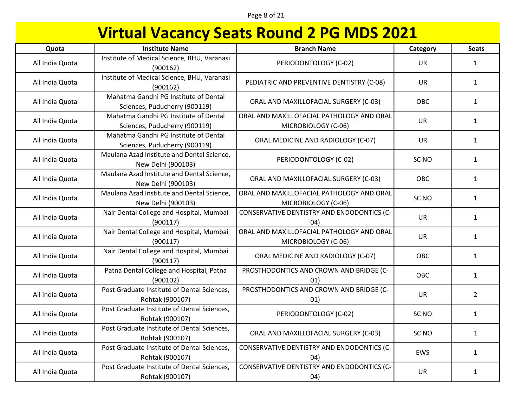Page 8 of 21

| Quota           | <b>Institute Name</b>                                                  | <b>Branch Name</b>                                               | Category         | <b>Seats</b>   |
|-----------------|------------------------------------------------------------------------|------------------------------------------------------------------|------------------|----------------|
| All India Quota | Institute of Medical Science, BHU, Varanasi<br>(900162)                | PERIODONTOLOGY (C-02)                                            | <b>UR</b>        | $\mathbf{1}$   |
| All India Quota | Institute of Medical Science, BHU, Varanasi<br>(900162)                | PEDIATRIC AND PREVENTIVE DENTISTRY (C-08)                        | <b>UR</b>        | $\mathbf{1}$   |
| All India Quota | Mahatma Gandhi PG Institute of Dental<br>Sciences, Puducherry (900119) | ORAL AND MAXILLOFACIAL SURGERY (C-03)                            | OBC              | $\mathbf{1}$   |
| All India Quota | Mahatma Gandhi PG Institute of Dental<br>Sciences, Puducherry (900119) | ORAL AND MAXILLOFACIAL PATHOLOGY AND ORAL<br>MICROBIOLOGY (C-06) | <b>UR</b>        | $\mathbf{1}$   |
| All India Quota | Mahatma Gandhi PG Institute of Dental<br>Sciences, Puducherry (900119) | ORAL MEDICINE AND RADIOLOGY (C-07)                               | <b>UR</b>        | $\mathbf{1}$   |
| All India Quota | Maulana Azad Institute and Dental Science,<br>New Delhi (900103)       | PERIODONTOLOGY (C-02)                                            | SC <sub>NO</sub> | $\mathbf{1}$   |
| All India Quota | Maulana Azad Institute and Dental Science,<br>New Delhi (900103)       | ORAL AND MAXILLOFACIAL SURGERY (C-03)                            | OBC              | $\mathbf{1}$   |
| All India Quota | Maulana Azad Institute and Dental Science,<br>New Delhi (900103)       | ORAL AND MAXILLOFACIAL PATHOLOGY AND ORAL<br>MICROBIOLOGY (C-06) | SC <sub>NO</sub> | $\mathbf{1}$   |
| All India Quota | Nair Dental College and Hospital, Mumbai<br>(900117)                   | CONSERVATIVE DENTISTRY AND ENDODONTICS (C-<br>(04)               | UR               | $\mathbf{1}$   |
| All India Quota | Nair Dental College and Hospital, Mumbai<br>(900117)                   | ORAL AND MAXILLOFACIAL PATHOLOGY AND ORAL<br>MICROBIOLOGY (C-06) | <b>UR</b>        | $\mathbf{1}$   |
| All India Quota | Nair Dental College and Hospital, Mumbai<br>(900117)                   | ORAL MEDICINE AND RADIOLOGY (C-07)                               | OBC              | $\mathbf{1}$   |
| All India Quota | Patna Dental College and Hospital, Patna<br>(900102)                   | PROSTHODONTICS AND CROWN AND BRIDGE (C-<br>01)                   | OBC              | $\mathbf{1}$   |
| All India Quota | Post Graduate Institute of Dental Sciences,<br>Rohtak (900107)         | PROSTHODONTICS AND CROWN AND BRIDGE (C-<br>01)                   | UR               | $\overline{2}$ |
| All India Quota | Post Graduate Institute of Dental Sciences,<br>Rohtak (900107)         | PERIODONTOLOGY (C-02)                                            | SC <sub>NO</sub> | $\mathbf{1}$   |
| All India Quota | Post Graduate Institute of Dental Sciences,<br>Rohtak (900107)         | ORAL AND MAXILLOFACIAL SURGERY (C-03)                            | SC <sub>NO</sub> | $\mathbf{1}$   |
| All India Quota | Post Graduate Institute of Dental Sciences,<br>Rohtak (900107)         | CONSERVATIVE DENTISTRY AND ENDODONTICS (C-<br>04)                | EWS              | $\mathbf{1}$   |
| All India Quota | Post Graduate Institute of Dental Sciences,<br>Rohtak (900107)         | CONSERVATIVE DENTISTRY AND ENDODONTICS (C-<br>04)                | <b>UR</b>        | $\mathbf{1}$   |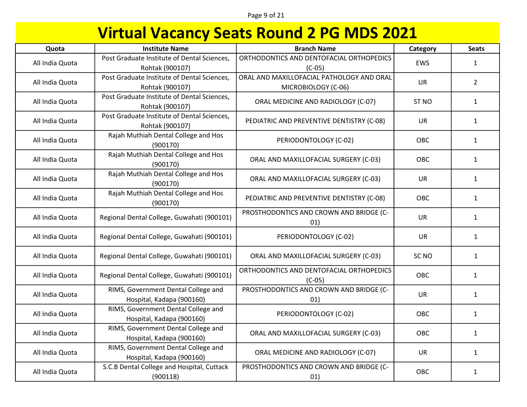Page 9 of 21

| Quota           | <b>Institute Name</b>                                            | <b>Branch Name</b>                                               | Category         | <b>Seats</b>   |
|-----------------|------------------------------------------------------------------|------------------------------------------------------------------|------------------|----------------|
| All India Quota | Post Graduate Institute of Dental Sciences,<br>Rohtak (900107)   | ORTHODONTICS AND DENTOFACIAL ORTHOPEDICS<br>$(C-05)$             | EWS              | $\mathbf{1}$   |
| All India Quota | Post Graduate Institute of Dental Sciences,<br>Rohtak (900107)   | ORAL AND MAXILLOFACIAL PATHOLOGY AND ORAL<br>MICROBIOLOGY (C-06) | <b>UR</b>        | $\overline{2}$ |
| All India Quota | Post Graduate Institute of Dental Sciences,<br>Rohtak (900107)   | ORAL MEDICINE AND RADIOLOGY (C-07)                               | ST <sub>NO</sub> | $\mathbf{1}$   |
| All India Quota | Post Graduate Institute of Dental Sciences,<br>Rohtak (900107)   | PEDIATRIC AND PREVENTIVE DENTISTRY (C-08)                        | <b>UR</b>        | $\mathbf{1}$   |
| All India Quota | Rajah Muthiah Dental College and Hos<br>(900170)                 | PERIODONTOLOGY (C-02)                                            | OBC              | $\mathbf{1}$   |
| All India Quota | Rajah Muthiah Dental College and Hos<br>(900170)                 | ORAL AND MAXILLOFACIAL SURGERY (C-03)                            | OBC              | $\mathbf{1}$   |
| All India Quota | Rajah Muthiah Dental College and Hos<br>(900170)                 | ORAL AND MAXILLOFACIAL SURGERY (C-03)                            | <b>UR</b>        | $\mathbf{1}$   |
| All India Quota | Rajah Muthiah Dental College and Hos<br>(900170)                 | PEDIATRIC AND PREVENTIVE DENTISTRY (C-08)                        | <b>OBC</b>       | $\mathbf{1}$   |
| All India Quota | Regional Dental College, Guwahati (900101)                       | PROSTHODONTICS AND CROWN AND BRIDGE (C-<br>01)                   | <b>UR</b>        | $\mathbf{1}$   |
| All India Quota | Regional Dental College, Guwahati (900101)                       | PERIODONTOLOGY (C-02)                                            | <b>UR</b>        | $\mathbf{1}$   |
| All India Quota | Regional Dental College, Guwahati (900101)                       | ORAL AND MAXILLOFACIAL SURGERY (C-03)                            | SC <sub>NO</sub> | $\mathbf{1}$   |
| All India Quota | Regional Dental College, Guwahati (900101)                       | ORTHODONTICS AND DENTOFACIAL ORTHOPEDICS<br>$(C-05)$             | OBC              | $\mathbf{1}$   |
| All India Quota | RIMS, Government Dental College and<br>Hospital, Kadapa (900160) | PROSTHODONTICS AND CROWN AND BRIDGE (C-<br>01)                   | <b>UR</b>        | $\mathbf{1}$   |
| All India Quota | RIMS, Government Dental College and<br>Hospital, Kadapa (900160) | PERIODONTOLOGY (C-02)                                            | OBC              | $\mathbf{1}$   |
| All India Quota | RIMS, Government Dental College and<br>Hospital, Kadapa (900160) | ORAL AND MAXILLOFACIAL SURGERY (C-03)                            | OBC              | $\mathbf{1}$   |
| All India Quota | RIMS, Government Dental College and<br>Hospital, Kadapa (900160) | ORAL MEDICINE AND RADIOLOGY (C-07)                               | UR               | $\mathbf{1}$   |
| All India Quota | S.C.B Dental College and Hospital, Cuttack<br>(900118)           | PROSTHODONTICS AND CROWN AND BRIDGE (C-<br>01)                   | OBC              | $\mathbf{1}$   |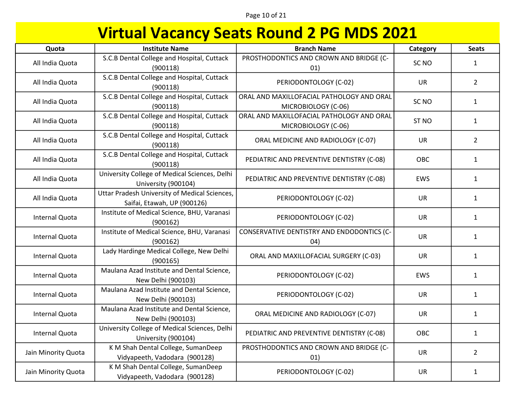Page 10 of 21

| Quota                 | <b>Institute Name</b>                                                        | <b>Branch Name</b>                                               | Category         | <b>Seats</b>   |
|-----------------------|------------------------------------------------------------------------------|------------------------------------------------------------------|------------------|----------------|
| All India Quota       | S.C.B Dental College and Hospital, Cuttack<br>(900118)                       | PROSTHODONTICS AND CROWN AND BRIDGE (C-<br>01)                   | SC <sub>NO</sub> | $\mathbf{1}$   |
| All India Quota       | S.C.B Dental College and Hospital, Cuttack<br>(900118)                       | PERIODONTOLOGY (C-02)                                            | <b>UR</b>        | $\overline{2}$ |
| All India Quota       | S.C.B Dental College and Hospital, Cuttack<br>(900118)                       | ORAL AND MAXILLOFACIAL PATHOLOGY AND ORAL<br>MICROBIOLOGY (C-06) | SC <sub>NO</sub> | $\mathbf{1}$   |
| All India Quota       | S.C.B Dental College and Hospital, Cuttack<br>(900118)                       | ORAL AND MAXILLOFACIAL PATHOLOGY AND ORAL<br>MICROBIOLOGY (C-06) | ST <sub>NO</sub> | $\mathbf{1}$   |
| All India Quota       | S.C.B Dental College and Hospital, Cuttack<br>(900118)                       | ORAL MEDICINE AND RADIOLOGY (C-07)                               | <b>UR</b>        | $\overline{2}$ |
| All India Quota       | S.C.B Dental College and Hospital, Cuttack<br>(900118)                       | PEDIATRIC AND PREVENTIVE DENTISTRY (C-08)                        | OBC              | $\mathbf{1}$   |
| All India Quota       | University College of Medical Sciences, Delhi<br>University (900104)         | PEDIATRIC AND PREVENTIVE DENTISTRY (C-08)                        | EWS              | $\mathbf{1}$   |
| All India Quota       | Uttar Pradesh University of Medical Sciences,<br>Saifai, Etawah, UP (900126) | PERIODONTOLOGY (C-02)                                            | <b>UR</b>        | $\mathbf{1}$   |
| Internal Quota        | Institute of Medical Science, BHU, Varanasi<br>(900162)                      | PERIODONTOLOGY (C-02)                                            | <b>UR</b>        | $\mathbf{1}$   |
| <b>Internal Quota</b> | Institute of Medical Science, BHU, Varanasi<br>(900162)                      | CONSERVATIVE DENTISTRY AND ENDODONTICS (C-<br>04)                | UR               | $\mathbf{1}$   |
| Internal Quota        | Lady Hardinge Medical College, New Delhi<br>(900165)                         | ORAL AND MAXILLOFACIAL SURGERY (C-03)                            | <b>UR</b>        | $\mathbf{1}$   |
| Internal Quota        | Maulana Azad Institute and Dental Science,<br>New Delhi (900103)             | PERIODONTOLOGY (C-02)                                            | <b>EWS</b>       | $\mathbf{1}$   |
| Internal Quota        | Maulana Azad Institute and Dental Science,<br>New Delhi (900103)             | PERIODONTOLOGY (C-02)                                            | <b>UR</b>        | $\mathbf{1}$   |
| <b>Internal Quota</b> | Maulana Azad Institute and Dental Science,<br>New Delhi (900103)             | ORAL MEDICINE AND RADIOLOGY (C-07)                               | <b>UR</b>        | $\mathbf{1}$   |
| <b>Internal Quota</b> | University College of Medical Sciences, Delhi<br>University (900104)         | PEDIATRIC AND PREVENTIVE DENTISTRY (C-08)                        | OBC              | $\mathbf{1}$   |
| Jain Minority Quota   | K M Shah Dental College, SumanDeep<br>Vidyapeeth, Vadodara (900128)          | PROSTHODONTICS AND CROWN AND BRIDGE (C-<br>01)                   | UR               | $\overline{2}$ |
| Jain Minority Quota   | K M Shah Dental College, SumanDeep<br>Vidyapeeth, Vadodara (900128)          | PERIODONTOLOGY (C-02)                                            | <b>UR</b>        | $\mathbf{1}$   |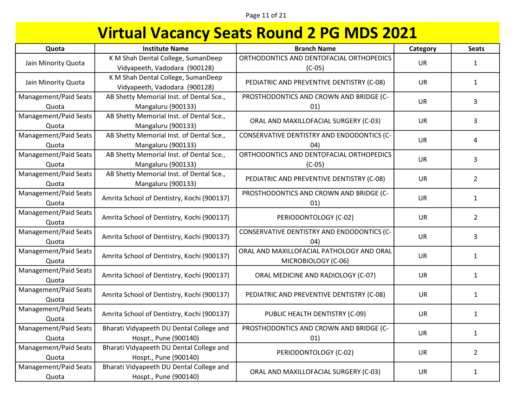### Page 11 of 21

| Quota                          | <b>Institute Name</b>                                               | <b>Branch Name</b>                                               | Category  | <b>Seats</b>   |
|--------------------------------|---------------------------------------------------------------------|------------------------------------------------------------------|-----------|----------------|
| Jain Minority Quota            | K M Shah Dental College, SumanDeep<br>Vidyapeeth, Vadodara (900128) | ORTHODONTICS AND DENTOFACIAL ORTHOPEDICS<br>$(C-05)$             | <b>UR</b> | 1              |
| Jain Minority Quota            | K M Shah Dental College, SumanDeep<br>Vidyapeeth, Vadodara (900128) | PEDIATRIC AND PREVENTIVE DENTISTRY (C-08)                        | <b>UR</b> | $\mathbf{1}$   |
| Management/Paid Seats<br>Quota | AB Shetty Memorial Inst. of Dental Sce.,<br>Mangaluru (900133)      | PROSTHODONTICS AND CROWN AND BRIDGE (C-<br>01)                   | UR        | 3              |
| Management/Paid Seats<br>Quota | AB Shetty Memorial Inst. of Dental Sce.,<br>Mangaluru (900133)      | ORAL AND MAXILLOFACIAL SURGERY (C-03)                            | <b>UR</b> | 3              |
| Management/Paid Seats<br>Quota | AB Shetty Memorial Inst. of Dental Sce.,<br>Mangaluru (900133)      | CONSERVATIVE DENTISTRY AND ENDODONTICS (C-<br>04)                | UR        | 4              |
| Management/Paid Seats<br>Quota | AB Shetty Memorial Inst. of Dental Sce.,<br>Mangaluru (900133)      | ORTHODONTICS AND DENTOFACIAL ORTHOPEDICS<br>$(C-05)$             | <b>UR</b> | 3              |
| Management/Paid Seats<br>Quota | AB Shetty Memorial Inst. of Dental Sce.,<br>Mangaluru (900133)      | PEDIATRIC AND PREVENTIVE DENTISTRY (C-08)                        | <b>UR</b> | $\overline{2}$ |
| Management/Paid Seats<br>Quota | Amrita School of Dentistry, Kochi (900137)                          | PROSTHODONTICS AND CROWN AND BRIDGE (C-<br>01)                   | <b>UR</b> | $\mathbf{1}$   |
| Management/Paid Seats<br>Quota | Amrita School of Dentistry, Kochi (900137)                          | PERIODONTOLOGY (C-02)                                            | <b>UR</b> | $\overline{2}$ |
| Management/Paid Seats<br>Quota | Amrita School of Dentistry, Kochi (900137)                          | CONSERVATIVE DENTISTRY AND ENDODONTICS (C-<br>04)                | <b>UR</b> | 3              |
| Management/Paid Seats<br>Quota | Amrita School of Dentistry, Kochi (900137)                          | ORAL AND MAXILLOFACIAL PATHOLOGY AND ORAL<br>MICROBIOLOGY (C-06) | UR        | $\mathbf{1}$   |
| Management/Paid Seats<br>Quota | Amrita School of Dentistry, Kochi (900137)                          | ORAL MEDICINE AND RADIOLOGY (C-07)                               | <b>UR</b> | $\mathbf{1}$   |
| Management/Paid Seats<br>Quota | Amrita School of Dentistry, Kochi (900137)                          | PEDIATRIC AND PREVENTIVE DENTISTRY (C-08)                        | <b>UR</b> | $\mathbf{1}$   |
| Management/Paid Seats<br>Quota | Amrita School of Dentistry, Kochi (900137)                          | PUBLIC HEALTH DENTISTRY (C-09)                                   | <b>UR</b> | $\mathbf{1}$   |
| Management/Paid Seats<br>Quota | Bharati Vidyapeeth DU Dental College and<br>Hospt., Pune (900140)   | PROSTHODONTICS AND CROWN AND BRIDGE (C-<br>01)                   | <b>UR</b> | $\mathbf{1}$   |
| Management/Paid Seats<br>Quota | Bharati Vidyapeeth DU Dental College and<br>Hospt., Pune (900140)   | PERIODONTOLOGY (C-02)                                            | <b>UR</b> | $\overline{2}$ |
| Management/Paid Seats<br>Quota | Bharati Vidyapeeth DU Dental College and<br>Hospt., Pune (900140)   | ORAL AND MAXILLOFACIAL SURGERY (C-03)                            | <b>UR</b> | $\mathbf{1}$   |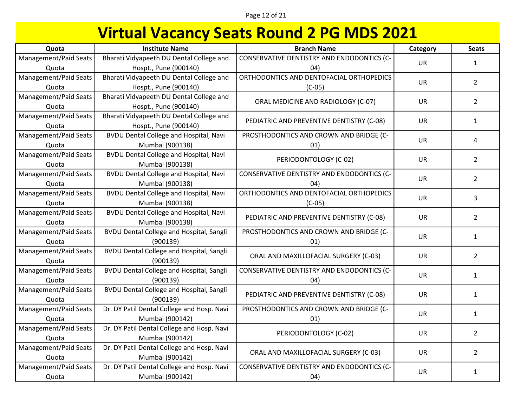| Quota                 | <b>Institute Name</b>                           | <b>Branch Name</b>                         | Category  | <b>Seats</b>   |
|-----------------------|-------------------------------------------------|--------------------------------------------|-----------|----------------|
| Management/Paid Seats | Bharati Vidyapeeth DU Dental College and        | CONSERVATIVE DENTISTRY AND ENDODONTICS (C- | UR        | $\mathbf{1}$   |
| Quota                 | Hospt., Pune (900140)                           | (04)                                       |           |                |
| Management/Paid Seats | Bharati Vidyapeeth DU Dental College and        | ORTHODONTICS AND DENTOFACIAL ORTHOPEDICS   | <b>UR</b> | $\overline{2}$ |
| Quota                 | Hospt., Pune (900140)                           | $(C-05)$                                   |           |                |
| Management/Paid Seats | Bharati Vidyapeeth DU Dental College and        | ORAL MEDICINE AND RADIOLOGY (C-07)         | UR        | $\overline{2}$ |
| Quota                 | Hospt., Pune (900140)                           |                                            |           |                |
| Management/Paid Seats | Bharati Vidyapeeth DU Dental College and        | PEDIATRIC AND PREVENTIVE DENTISTRY (C-08)  | UR        | $\mathbf{1}$   |
| Quota                 | Hospt., Pune (900140)                           |                                            |           |                |
| Management/Paid Seats | <b>BVDU Dental College and Hospital, Navi</b>   | PROSTHODONTICS AND CROWN AND BRIDGE (C-    | <b>UR</b> | 4              |
| Quota                 | Mumbai (900138)                                 | 01)                                        |           |                |
| Management/Paid Seats | <b>BVDU Dental College and Hospital, Navi</b>   | PERIODONTOLOGY (C-02)                      | <b>UR</b> | $\overline{2}$ |
| Quota                 | Mumbai (900138)                                 |                                            |           |                |
| Management/Paid Seats | <b>BVDU Dental College and Hospital, Navi</b>   | CONSERVATIVE DENTISTRY AND ENDODONTICS (C- | UR        | $\overline{2}$ |
| Quota                 | Mumbai (900138)                                 | 04)                                        |           |                |
| Management/Paid Seats | <b>BVDU Dental College and Hospital, Navi</b>   | ORTHODONTICS AND DENTOFACIAL ORTHOPEDICS   | UR        | 3              |
| Quota                 | Mumbai (900138)                                 | $(C-05)$                                   |           |                |
| Management/Paid Seats | <b>BVDU Dental College and Hospital, Navi</b>   | PEDIATRIC AND PREVENTIVE DENTISTRY (C-08)  | UR        | $\mathbf{2}$   |
| Quota                 | Mumbai (900138)                                 |                                            |           |                |
| Management/Paid Seats | <b>BVDU Dental College and Hospital, Sangli</b> | PROSTHODONTICS AND CROWN AND BRIDGE (C-    | UR        | $\mathbf{1}$   |
| Quota                 | (900139)                                        | 01)                                        |           |                |
| Management/Paid Seats | <b>BVDU Dental College and Hospital, Sangli</b> | ORAL AND MAXILLOFACIAL SURGERY (C-03)      | <b>UR</b> | $\overline{2}$ |
| Quota                 | (900139)                                        |                                            |           |                |
| Management/Paid Seats | <b>BVDU Dental College and Hospital, Sangli</b> | CONSERVATIVE DENTISTRY AND ENDODONTICS (C- | UR        | $\mathbf{1}$   |
| Quota                 | (900139)                                        | (04)                                       |           |                |
| Management/Paid Seats | <b>BVDU Dental College and Hospital, Sangli</b> | PEDIATRIC AND PREVENTIVE DENTISTRY (C-08)  | <b>UR</b> | $\mathbf{1}$   |
| Quota                 | (900139)                                        |                                            |           |                |
| Management/Paid Seats | Dr. DY Patil Dental College and Hosp. Navi      | PROSTHODONTICS AND CROWN AND BRIDGE (C-    | <b>UR</b> | $\mathbf{1}$   |
| Quota                 | Mumbai (900142)                                 | 01)                                        |           |                |
| Management/Paid Seats | Dr. DY Patil Dental College and Hosp. Navi      | PERIODONTOLOGY (C-02)                      | <b>UR</b> | $\overline{2}$ |
| Quota                 | Mumbai (900142)                                 |                                            |           |                |
| Management/Paid Seats | Dr. DY Patil Dental College and Hosp. Navi      | ORAL AND MAXILLOFACIAL SURGERY (C-03)      | <b>UR</b> | $\overline{2}$ |
| Quota                 | Mumbai (900142)                                 |                                            |           |                |
| Management/Paid Seats | Dr. DY Patil Dental College and Hosp. Navi      | CONSERVATIVE DENTISTRY AND ENDODONTICS (C- | <b>UR</b> | $\mathbf{1}$   |
| Quota                 | Mumbai (900142)                                 | 04)                                        |           |                |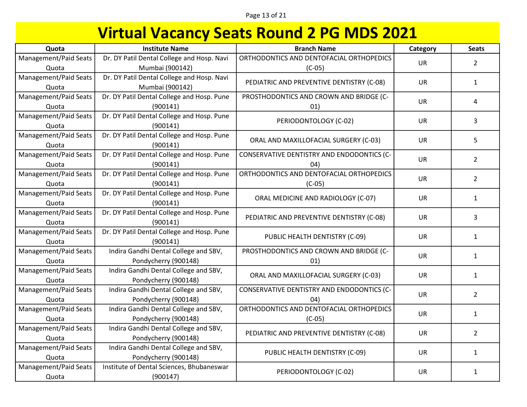| Quota                 | <b>Institute Name</b>                      | <b>Branch Name</b>                         | Category  | <b>Seats</b>   |
|-----------------------|--------------------------------------------|--------------------------------------------|-----------|----------------|
| Management/Paid Seats | Dr. DY Patil Dental College and Hosp. Navi | ORTHODONTICS AND DENTOFACIAL ORTHOPEDICS   | UR        | $\overline{2}$ |
| Quota                 | Mumbai (900142)                            | $(C-05)$                                   |           |                |
| Management/Paid Seats | Dr. DY Patil Dental College and Hosp. Navi | PEDIATRIC AND PREVENTIVE DENTISTRY (C-08)  | <b>UR</b> | $\mathbf{1}$   |
| Quota                 | Mumbai (900142)                            |                                            |           |                |
| Management/Paid Seats | Dr. DY Patil Dental College and Hosp. Pune | PROSTHODONTICS AND CROWN AND BRIDGE (C-    | <b>UR</b> | 4              |
| Quota                 | (900141)                                   | 01)                                        |           |                |
| Management/Paid Seats | Dr. DY Patil Dental College and Hosp. Pune | PERIODONTOLOGY (C-02)                      | UR        | 3              |
| Quota                 | (900141)                                   |                                            |           |                |
| Management/Paid Seats | Dr. DY Patil Dental College and Hosp. Pune | ORAL AND MAXILLOFACIAL SURGERY (C-03)      | <b>UR</b> | 5              |
| Quota                 | (900141)                                   |                                            |           |                |
| Management/Paid Seats | Dr. DY Patil Dental College and Hosp. Pune | CONSERVATIVE DENTISTRY AND ENDODONTICS (C- | <b>UR</b> | $\overline{2}$ |
| Quota                 | (900141)                                   | 04)                                        |           |                |
| Management/Paid Seats | Dr. DY Patil Dental College and Hosp. Pune | ORTHODONTICS AND DENTOFACIAL ORTHOPEDICS   | <b>UR</b> | $\overline{2}$ |
| Quota                 | (900141)                                   | $(C-05)$                                   |           |                |
| Management/Paid Seats | Dr. DY Patil Dental College and Hosp. Pune | ORAL MEDICINE AND RADIOLOGY (C-07)         | UR        | $\mathbf{1}$   |
| Quota                 | (900141)                                   |                                            |           |                |
| Management/Paid Seats | Dr. DY Patil Dental College and Hosp. Pune | PEDIATRIC AND PREVENTIVE DENTISTRY (C-08)  | UR        | 3              |
| Quota                 | (900141)                                   |                                            |           |                |
| Management/Paid Seats | Dr. DY Patil Dental College and Hosp. Pune | PUBLIC HEALTH DENTISTRY (C-09)             | <b>UR</b> | $\mathbf{1}$   |
| Quota                 | (900141)                                   |                                            |           |                |
| Management/Paid Seats | Indira Gandhi Dental College and SBV,      | PROSTHODONTICS AND CROWN AND BRIDGE (C-    | <b>UR</b> | $\mathbf{1}$   |
| Quota                 | Pondycherry (900148)                       | 01)                                        |           |                |
| Management/Paid Seats | Indira Gandhi Dental College and SBV,      | ORAL AND MAXILLOFACIAL SURGERY (C-03)      | <b>UR</b> | $\mathbf{1}$   |
| Quota                 | Pondycherry (900148)                       |                                            |           |                |
| Management/Paid Seats | Indira Gandhi Dental College and SBV,      | CONSERVATIVE DENTISTRY AND ENDODONTICS (C- | UR        | $\overline{2}$ |
| Quota                 | Pondycherry (900148)                       | (04)                                       |           |                |
| Management/Paid Seats | Indira Gandhi Dental College and SBV,      | ORTHODONTICS AND DENTOFACIAL ORTHOPEDICS   | UR        | $\mathbf{1}$   |
| Quota                 | Pondycherry (900148)                       | $(C-05)$                                   |           |                |
| Management/Paid Seats | Indira Gandhi Dental College and SBV,      | PEDIATRIC AND PREVENTIVE DENTISTRY (C-08)  | <b>UR</b> | $\overline{2}$ |
| Quota                 | Pondycherry (900148)                       |                                            |           |                |
| Management/Paid Seats | Indira Gandhi Dental College and SBV,      | PUBLIC HEALTH DENTISTRY (C-09)             | <b>UR</b> | $\mathbf{1}$   |
| Quota                 | Pondycherry (900148)                       |                                            |           |                |
| Management/Paid Seats | Institute of Dental Sciences, Bhubaneswar  | PERIODONTOLOGY (C-02)                      | <b>UR</b> | $\mathbf{1}$   |
| Quota                 | (900147)                                   |                                            |           |                |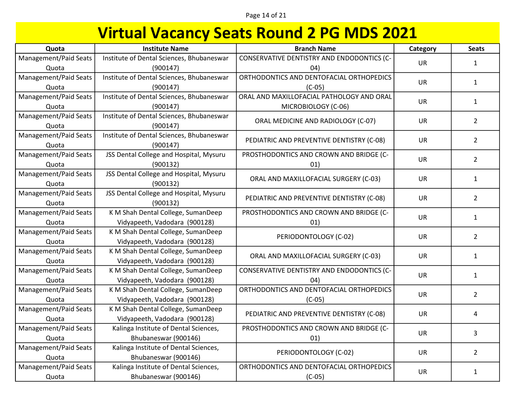| Quota                 | <b>Institute Name</b>                     | <b>Branch Name</b>                         | Category  | <b>Seats</b>   |
|-----------------------|-------------------------------------------|--------------------------------------------|-----------|----------------|
| Management/Paid Seats | Institute of Dental Sciences, Bhubaneswar | CONSERVATIVE DENTISTRY AND ENDODONTICS (C- | UR        | $\mathbf{1}$   |
| Quota                 | (900147)                                  | (04)                                       |           |                |
| Management/Paid Seats | Institute of Dental Sciences, Bhubaneswar | ORTHODONTICS AND DENTOFACIAL ORTHOPEDICS   | <b>UR</b> | $\mathbf{1}$   |
| Quota                 | (900147)                                  | $(C-05)$                                   |           |                |
| Management/Paid Seats | Institute of Dental Sciences, Bhubaneswar | ORAL AND MAXILLOFACIAL PATHOLOGY AND ORAL  | UR        | $\mathbf{1}$   |
| Quota                 | (900147)                                  | MICROBIOLOGY (C-06)                        |           |                |
| Management/Paid Seats | Institute of Dental Sciences, Bhubaneswar | ORAL MEDICINE AND RADIOLOGY (C-07)         | UR        | $\overline{2}$ |
| Quota                 | (900147)                                  |                                            |           |                |
| Management/Paid Seats | Institute of Dental Sciences, Bhubaneswar | PEDIATRIC AND PREVENTIVE DENTISTRY (C-08)  | UR        | $\overline{2}$ |
| Quota                 | (900147)                                  |                                            |           |                |
| Management/Paid Seats | JSS Dental College and Hospital, Mysuru   | PROSTHODONTICS AND CROWN AND BRIDGE (C-    | <b>UR</b> | $\overline{2}$ |
| Quota                 | (900132)                                  | 01)                                        |           |                |
| Management/Paid Seats | JSS Dental College and Hospital, Mysuru   | ORAL AND MAXILLOFACIAL SURGERY (C-03)      | <b>UR</b> | $\mathbf{1}$   |
| Quota                 | (900132)                                  |                                            |           |                |
| Management/Paid Seats | JSS Dental College and Hospital, Mysuru   | PEDIATRIC AND PREVENTIVE DENTISTRY (C-08)  | UR        | $\overline{2}$ |
| Quota                 | (900132)                                  |                                            |           |                |
| Management/Paid Seats | K M Shah Dental College, SumanDeep        | PROSTHODONTICS AND CROWN AND BRIDGE (C-    | UR        | $\mathbf{1}$   |
| Quota                 | Vidyapeeth, Vadodara (900128)             | 01)                                        |           |                |
| Management/Paid Seats | K M Shah Dental College, SumanDeep        | PERIODONTOLOGY (C-02)                      | <b>UR</b> | $\overline{2}$ |
| Quota                 | Vidyapeeth, Vadodara (900128)             |                                            |           |                |
| Management/Paid Seats | K M Shah Dental College, SumanDeep        | ORAL AND MAXILLOFACIAL SURGERY (C-03)      | <b>UR</b> | $\mathbf{1}$   |
| Quota                 | Vidyapeeth, Vadodara (900128)             |                                            |           |                |
| Management/Paid Seats | K M Shah Dental College, SumanDeep        | CONSERVATIVE DENTISTRY AND ENDODONTICS (C- | UR        | $\mathbf{1}$   |
| Quota                 | Vidyapeeth, Vadodara (900128)             | (04)                                       |           |                |
| Management/Paid Seats | K M Shah Dental College, SumanDeep        | ORTHODONTICS AND DENTOFACIAL ORTHOPEDICS   | UR        | $\overline{2}$ |
| Quota                 | Vidyapeeth, Vadodara (900128)             | $(C-05)$                                   |           |                |
| Management/Paid Seats | K M Shah Dental College, SumanDeep        | PEDIATRIC AND PREVENTIVE DENTISTRY (C-08)  | UR        | 4              |
| Quota                 | Vidyapeeth, Vadodara (900128)             |                                            |           |                |
| Management/Paid Seats | Kalinga Institute of Dental Sciences,     | PROSTHODONTICS AND CROWN AND BRIDGE (C-    | <b>UR</b> | 3              |
| Quota                 | Bhubaneswar (900146)                      | 01)                                        |           |                |
| Management/Paid Seats | Kalinga Institute of Dental Sciences,     |                                            | UR        | $\overline{2}$ |
| Quota                 | Bhubaneswar (900146)                      | PERIODONTOLOGY (C-02)                      |           |                |
| Management/Paid Seats | Kalinga Institute of Dental Sciences,     | ORTHODONTICS AND DENTOFACIAL ORTHOPEDICS   | UR        | $\mathbf{1}$   |
| Quota                 | Bhubaneswar (900146)                      | $(C-05)$                                   |           |                |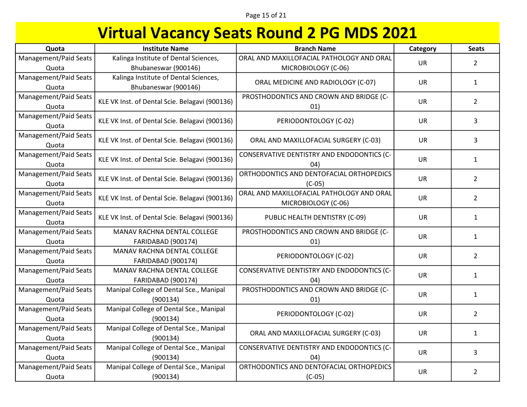| Quota                 | <b>Institute Name</b>                          | <b>Branch Name</b>                         | Category  | <b>Seats</b>   |
|-----------------------|------------------------------------------------|--------------------------------------------|-----------|----------------|
| Management/Paid Seats | Kalinga Institute of Dental Sciences,          | ORAL AND MAXILLOFACIAL PATHOLOGY AND ORAL  | <b>UR</b> | $\overline{2}$ |
| Quota                 | Bhubaneswar (900146)                           | MICROBIOLOGY (C-06)                        |           |                |
| Management/Paid Seats | Kalinga Institute of Dental Sciences,          | ORAL MEDICINE AND RADIOLOGY (C-07)         | <b>UR</b> | $\mathbf{1}$   |
| Quota                 | Bhubaneswar (900146)                           |                                            |           |                |
| Management/Paid Seats | KLE VK Inst. of Dental Scie. Belagavi (900136) | PROSTHODONTICS AND CROWN AND BRIDGE (C-    | <b>UR</b> | $\overline{2}$ |
| Quota                 |                                                | 01)                                        |           |                |
| Management/Paid Seats | KLE VK Inst. of Dental Scie. Belagavi (900136) | PERIODONTOLOGY (C-02)                      | <b>UR</b> | 3              |
| Quota                 |                                                |                                            |           |                |
| Management/Paid Seats | KLE VK Inst. of Dental Scie. Belagavi (900136) | ORAL AND MAXILLOFACIAL SURGERY (C-03)      | <b>UR</b> | 3              |
| Quota                 |                                                |                                            |           |                |
| Management/Paid Seats | KLE VK Inst. of Dental Scie. Belagavi (900136) | CONSERVATIVE DENTISTRY AND ENDODONTICS (C- | <b>UR</b> | $\mathbf{1}$   |
| Quota                 |                                                | (04)                                       |           |                |
| Management/Paid Seats | KLE VK Inst. of Dental Scie. Belagavi (900136) | ORTHODONTICS AND DENTOFACIAL ORTHOPEDICS   | <b>UR</b> | $\overline{2}$ |
| Quota                 |                                                | $(C-05)$                                   |           |                |
| Management/Paid Seats | KLE VK Inst. of Dental Scie. Belagavi (900136) | ORAL AND MAXILLOFACIAL PATHOLOGY AND ORAL  | <b>UR</b> | $\overline{2}$ |
| Quota                 |                                                | MICROBIOLOGY (C-06)                        |           |                |
| Management/Paid Seats | KLE VK Inst. of Dental Scie. Belagavi (900136) | PUBLIC HEALTH DENTISTRY (C-09)             | <b>UR</b> | $\mathbf{1}$   |
| Quota                 |                                                |                                            |           |                |
| Management/Paid Seats | MANAV RACHNA DENTAL COLLEGE                    | PROSTHODONTICS AND CROWN AND BRIDGE (C-    | <b>UR</b> | $\mathbf{1}$   |
| Quota                 | <b>FARIDABAD (900174)</b>                      | 01)                                        |           |                |
| Management/Paid Seats | MANAV RACHNA DENTAL COLLEGE                    | PERIODONTOLOGY (C-02)                      | <b>UR</b> | $\overline{2}$ |
| Quota                 | FARIDABAD (900174)                             |                                            |           |                |
| Management/Paid Seats | MANAV RACHNA DENTAL COLLEGE                    | CONSERVATIVE DENTISTRY AND ENDODONTICS (C- | <b>UR</b> | $\mathbf{1}$   |
| Quota                 | <b>FARIDABAD (900174)</b>                      | 04)                                        |           |                |
| Management/Paid Seats | Manipal College of Dental Sce., Manipal        | PROSTHODONTICS AND CROWN AND BRIDGE (C-    | <b>UR</b> | $\mathbf{1}$   |
| Quota                 | (900134)                                       | 01)                                        |           |                |
| Management/Paid Seats | Manipal College of Dental Sce., Manipal        | PERIODONTOLOGY (C-02)                      | <b>UR</b> | $\overline{2}$ |
| Quota                 | (900134)                                       |                                            |           |                |
| Management/Paid Seats | Manipal College of Dental Sce., Manipal        | ORAL AND MAXILLOFACIAL SURGERY (C-03)      | <b>UR</b> | $\mathbf{1}$   |
| Quota                 | (900134)                                       |                                            |           |                |
| Management/Paid Seats | Manipal College of Dental Sce., Manipal        | CONSERVATIVE DENTISTRY AND ENDODONTICS (C- | UR        | 3              |
| Quota                 | (900134)                                       | 04)                                        |           |                |
| Management/Paid Seats | Manipal College of Dental Sce., Manipal        | ORTHODONTICS AND DENTOFACIAL ORTHOPEDICS   | <b>UR</b> | $\overline{2}$ |
| Quota                 | (900134)                                       | $(C-05)$                                   |           |                |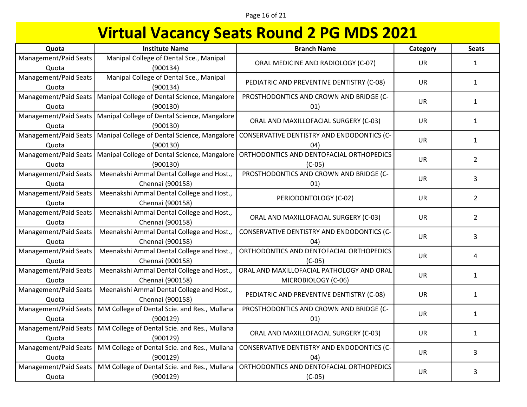### Page 16 of 21

| Quota                          | <b>Institute Name</b>                                         | <b>Branch Name</b>                                               | Category  | <b>Seats</b>   |
|--------------------------------|---------------------------------------------------------------|------------------------------------------------------------------|-----------|----------------|
| Management/Paid Seats<br>Quota | Manipal College of Dental Sce., Manipal<br>(900134)           | ORAL MEDICINE AND RADIOLOGY (C-07)                               | UR        | $\mathbf{1}$   |
| Management/Paid Seats<br>Quota | Manipal College of Dental Sce., Manipal<br>(900134)           | PEDIATRIC AND PREVENTIVE DENTISTRY (C-08)                        | UR        | $\mathbf{1}$   |
| Management/Paid Seats<br>Quota | Manipal College of Dental Science, Mangalore<br>(900130)      | PROSTHODONTICS AND CROWN AND BRIDGE (C-<br>01)                   | <b>UR</b> | $\mathbf{1}$   |
| Management/Paid Seats<br>Quota | Manipal College of Dental Science, Mangalore<br>(900130)      | ORAL AND MAXILLOFACIAL SURGERY (C-03)                            | <b>UR</b> | $\mathbf{1}$   |
| Management/Paid Seats<br>Quota | Manipal College of Dental Science, Mangalore<br>(900130)      | CONSERVATIVE DENTISTRY AND ENDODONTICS (C-<br>(04)               | UR        | $\mathbf{1}$   |
| Management/Paid Seats<br>Quota | Manipal College of Dental Science, Mangalore<br>(900130)      | ORTHODONTICS AND DENTOFACIAL ORTHOPEDICS<br>$(C-05)$             | <b>UR</b> | $\overline{2}$ |
| Management/Paid Seats<br>Quota | Meenakshi Ammal Dental College and Host.,<br>Chennai (900158) | PROSTHODONTICS AND CROWN AND BRIDGE (C-<br>01)                   | UR        | 3              |
| Management/Paid Seats<br>Quota | Meenakshi Ammal Dental College and Host.,<br>Chennai (900158) | PERIODONTOLOGY (C-02)                                            | <b>UR</b> | $\overline{2}$ |
| Management/Paid Seats<br>Quota | Meenakshi Ammal Dental College and Host.,<br>Chennai (900158) | ORAL AND MAXILLOFACIAL SURGERY (C-03)                            | UR        | $\overline{2}$ |
| Management/Paid Seats<br>Quota | Meenakshi Ammal Dental College and Host.,<br>Chennai (900158) | CONSERVATIVE DENTISTRY AND ENDODONTICS (C-<br>04)                | <b>UR</b> | 3              |
| Management/Paid Seats<br>Quota | Meenakshi Ammal Dental College and Host.,<br>Chennai (900158) | ORTHODONTICS AND DENTOFACIAL ORTHOPEDICS<br>$(C-05)$             | UR        | 4              |
| Management/Paid Seats<br>Quota | Meenakshi Ammal Dental College and Host.,<br>Chennai (900158) | ORAL AND MAXILLOFACIAL PATHOLOGY AND ORAL<br>MICROBIOLOGY (C-06) | UR        | $\mathbf{1}$   |
| Management/Paid Seats<br>Quota | Meenakshi Ammal Dental College and Host.,<br>Chennai (900158) | PEDIATRIC AND PREVENTIVE DENTISTRY (C-08)                        | <b>UR</b> | $\mathbf{1}$   |
| Management/Paid Seats<br>Quota | MM College of Dental Scie. and Res., Mullana<br>(900129)      | PROSTHODONTICS AND CROWN AND BRIDGE (C-<br>01)                   | <b>UR</b> | $\mathbf{1}$   |
| Management/Paid Seats<br>Quota | MM College of Dental Scie. and Res., Mullana<br>(900129)      | ORAL AND MAXILLOFACIAL SURGERY (C-03)                            | <b>UR</b> | $\mathbf{1}$   |
| Management/Paid Seats<br>Quota | MM College of Dental Scie. and Res., Mullana<br>(900129)      | CONSERVATIVE DENTISTRY AND ENDODONTICS (C-<br>04)                | UR        | 3              |
| Management/Paid Seats<br>Quota | MM College of Dental Scie. and Res., Mullana<br>(900129)      | ORTHODONTICS AND DENTOFACIAL ORTHOPEDICS<br>$(C-05)$             | UR        | 3              |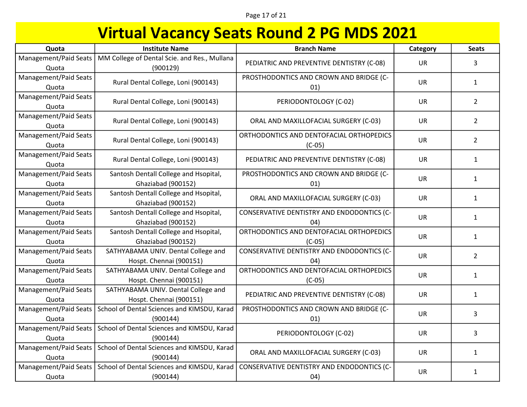Page 17 of 21

| Quota                          | <b>Institute Name</b>                                          | <b>Branch Name</b>                                   | Category  | <b>Seats</b>   |
|--------------------------------|----------------------------------------------------------------|------------------------------------------------------|-----------|----------------|
| Management/Paid Seats<br>Quota | MM College of Dental Scie. and Res., Mullana<br>(900129)       | PEDIATRIC AND PREVENTIVE DENTISTRY (C-08)            | <b>UR</b> | 3              |
| Management/Paid Seats<br>Quota | Rural Dental College, Loni (900143)                            | PROSTHODONTICS AND CROWN AND BRIDGE (C-<br>01)       | <b>UR</b> | $\mathbf{1}$   |
| Management/Paid Seats<br>Quota | Rural Dental College, Loni (900143)                            | PERIODONTOLOGY (C-02)                                | <b>UR</b> | $\overline{2}$ |
| Management/Paid Seats<br>Quota | Rural Dental College, Loni (900143)                            | ORAL AND MAXILLOFACIAL SURGERY (C-03)                | <b>UR</b> | $\overline{2}$ |
| Management/Paid Seats<br>Quota | Rural Dental College, Loni (900143)                            | ORTHODONTICS AND DENTOFACIAL ORTHOPEDICS<br>$(C-05)$ | UR        | $\overline{2}$ |
| Management/Paid Seats<br>Quota | Rural Dental College, Loni (900143)                            | PEDIATRIC AND PREVENTIVE DENTISTRY (C-08)            | <b>UR</b> | $\mathbf{1}$   |
| Management/Paid Seats<br>Quota | Santosh Dentall College and Hsopital,<br>Ghaziabad (900152)    | PROSTHODONTICS AND CROWN AND BRIDGE (C-<br>01)       | <b>UR</b> | $\mathbf{1}$   |
| Management/Paid Seats<br>Quota | Santosh Dentall College and Hsopital,<br>Ghaziabad (900152)    | ORAL AND MAXILLOFACIAL SURGERY (C-03)                | UR.       | $\mathbf{1}$   |
| Management/Paid Seats<br>Quota | Santosh Dentall College and Hsopital,<br>Ghaziabad (900152)    | CONSERVATIVE DENTISTRY AND ENDODONTICS (C-<br>04)    | <b>UR</b> | $\mathbf{1}$   |
| Management/Paid Seats<br>Quota | Santosh Dentall College and Hsopital,<br>Ghaziabad (900152)    | ORTHODONTICS AND DENTOFACIAL ORTHOPEDICS<br>$(C-05)$ | <b>UR</b> | $\mathbf{1}$   |
| Management/Paid Seats<br>Quota | SATHYABAMA UNIV. Dental College and<br>Hospt. Chennai (900151) | CONSERVATIVE DENTISTRY AND ENDODONTICS (C-<br>04)    | <b>UR</b> | $\overline{2}$ |
| Management/Paid Seats<br>Quota | SATHYABAMA UNIV. Dental College and<br>Hospt. Chennai (900151) | ORTHODONTICS AND DENTOFACIAL ORTHOPEDICS<br>$(C-05)$ | <b>UR</b> | $\mathbf{1}$   |
| Management/Paid Seats<br>Quota | SATHYABAMA UNIV. Dental College and<br>Hospt. Chennai (900151) | PEDIATRIC AND PREVENTIVE DENTISTRY (C-08)            | UR        | $\mathbf{1}$   |
| Management/Paid Seats<br>Quota | School of Dental Sciences and KIMSDU, Karad<br>(900144)        | PROSTHODONTICS AND CROWN AND BRIDGE (C-<br>01)       | <b>UR</b> | 3              |
| Management/Paid Seats<br>Quota | School of Dental Sciences and KIMSDU, Karad<br>(900144)        | PERIODONTOLOGY (C-02)                                | UR        | 3              |
| Management/Paid Seats<br>Quota | School of Dental Sciences and KIMSDU, Karad<br>(900144)        | ORAL AND MAXILLOFACIAL SURGERY (C-03)                | <b>UR</b> | $\mathbf{1}$   |
| Management/Paid Seats<br>Quota | School of Dental Sciences and KIMSDU, Karad<br>(900144)        | CONSERVATIVE DENTISTRY AND ENDODONTICS (C-<br>(04)   | UR        | $\mathbf{1}$   |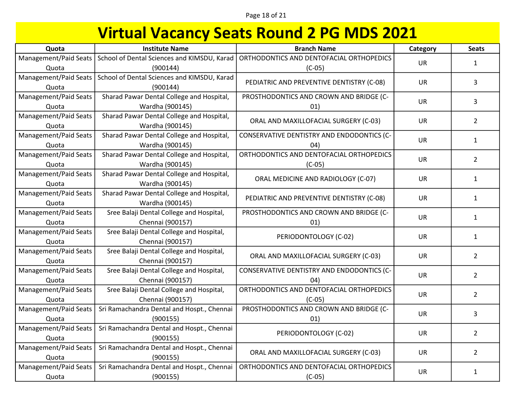Page 18 of 21

| Quota                 | <b>Institute Name</b>                       | <b>Branch Name</b>                         | Category  | <b>Seats</b>   |
|-----------------------|---------------------------------------------|--------------------------------------------|-----------|----------------|
| Management/Paid Seats | School of Dental Sciences and KIMSDU, Karad | ORTHODONTICS AND DENTOFACIAL ORTHOPEDICS   | <b>UR</b> | 1              |
| Quota                 | (900144)                                    | $(C-05)$                                   |           |                |
| Management/Paid Seats | School of Dental Sciences and KIMSDU, Karad | PEDIATRIC AND PREVENTIVE DENTISTRY (C-08)  | <b>UR</b> | 3              |
| Quota                 | (900144)                                    |                                            |           |                |
| Management/Paid Seats | Sharad Pawar Dental College and Hospital,   | PROSTHODONTICS AND CROWN AND BRIDGE (C-    | <b>UR</b> | 3              |
| Quota                 | Wardha (900145)                             | 01)                                        |           |                |
| Management/Paid Seats | Sharad Pawar Dental College and Hospital,   | ORAL AND MAXILLOFACIAL SURGERY (C-03)      | <b>UR</b> | $\overline{2}$ |
| Quota                 | Wardha (900145)                             |                                            |           |                |
| Management/Paid Seats | Sharad Pawar Dental College and Hospital,   | CONSERVATIVE DENTISTRY AND ENDODONTICS (C- | <b>UR</b> | $\mathbf{1}$   |
| Quota                 | Wardha (900145)                             | 04)                                        |           |                |
| Management/Paid Seats | Sharad Pawar Dental College and Hospital,   | ORTHODONTICS AND DENTOFACIAL ORTHOPEDICS   | UR        | $\overline{2}$ |
| Quota                 | Wardha (900145)                             | $(C-05)$                                   |           |                |
| Management/Paid Seats | Sharad Pawar Dental College and Hospital,   | ORAL MEDICINE AND RADIOLOGY (C-07)         | <b>UR</b> | $\mathbf{1}$   |
| Quota                 | Wardha (900145)                             |                                            |           |                |
| Management/Paid Seats | Sharad Pawar Dental College and Hospital,   | PEDIATRIC AND PREVENTIVE DENTISTRY (C-08)  | <b>UR</b> | $\mathbf{1}$   |
| Quota                 | Wardha (900145)                             |                                            |           |                |
| Management/Paid Seats | Sree Balaji Dental College and Hospital,    | PROSTHODONTICS AND CROWN AND BRIDGE (C-    | <b>UR</b> | $\mathbf{1}$   |
| Quota                 | Chennai (900157)                            | 01)                                        |           |                |
| Management/Paid Seats | Sree Balaji Dental College and Hospital,    | PERIODONTOLOGY (C-02)                      | <b>UR</b> | $\mathbf{1}$   |
| Quota                 | Chennai (900157)                            |                                            |           |                |
| Management/Paid Seats | Sree Balaji Dental College and Hospital,    | ORAL AND MAXILLOFACIAL SURGERY (C-03)      | <b>UR</b> | $\overline{2}$ |
| Quota                 | Chennai (900157)                            |                                            |           |                |
| Management/Paid Seats | Sree Balaji Dental College and Hospital,    | CONSERVATIVE DENTISTRY AND ENDODONTICS (C- | <b>UR</b> | $\overline{2}$ |
| Quota                 | Chennai (900157)                            | 04)                                        |           |                |
| Management/Paid Seats | Sree Balaji Dental College and Hospital,    | ORTHODONTICS AND DENTOFACIAL ORTHOPEDICS   | UR        | $\overline{2}$ |
| Quota                 | Chennai (900157)                            | $(C-05)$                                   |           |                |
| Management/Paid Seats | Sri Ramachandra Dental and Hospt., Chennai  | PROSTHODONTICS AND CROWN AND BRIDGE (C-    | UR        | 3              |
| Quota                 | (900155)                                    | 01)                                        |           |                |
| Management/Paid Seats | Sri Ramachandra Dental and Hospt., Chennai  | PERIODONTOLOGY (C-02)                      | <b>UR</b> | $\overline{2}$ |
| Quota                 | (900155)                                    |                                            |           |                |
| Management/Paid Seats | Sri Ramachandra Dental and Hospt., Chennai  | ORAL AND MAXILLOFACIAL SURGERY (C-03)      | UR        | $\overline{2}$ |
| Quota                 | (900155)                                    |                                            |           |                |
| Management/Paid Seats | Sri Ramachandra Dental and Hospt., Chennai  | ORTHODONTICS AND DENTOFACIAL ORTHOPEDICS   | UR        | $\mathbf{1}$   |
| Quota                 | (900155)                                    | $(C-05)$                                   |           |                |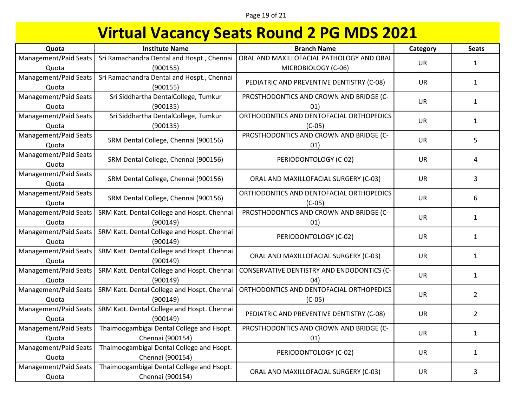| Quota                          | <b>Institute Name</b>                       | <b>Branch Name</b>                                   | Category  | <b>Seats</b>   |
|--------------------------------|---------------------------------------------|------------------------------------------------------|-----------|----------------|
| Management/Paid Seats          | Sri Ramachandra Dental and Hospt., Chennai  | ORAL AND MAXILLOFACIAL PATHOLOGY AND ORAL            | UR        | 1              |
| Quota                          | (900155)                                    | MICROBIOLOGY (C-06)                                  |           |                |
| Management/Paid Seats          | Sri Ramachandra Dental and Hospt., Chennai  | PEDIATRIC AND PREVENTIVE DENTISTRY (C-08)            | <b>UR</b> | $\mathbf{1}$   |
| Quota                          | (900155)                                    |                                                      |           |                |
| Management/Paid Seats          | Sri Siddhartha DentalCollege, Tumkur        | PROSTHODONTICS AND CROWN AND BRIDGE (C-              | <b>UR</b> | $\mathbf{1}$   |
| Quota                          | (900135)                                    | 01)                                                  |           |                |
| Management/Paid Seats          | Sri Siddhartha DentalCollege, Tumkur        | ORTHODONTICS AND DENTOFACIAL ORTHOPEDICS             | UR        | $\mathbf{1}$   |
| Quota                          | (900135)                                    | $(C-05)$                                             |           |                |
| Management/Paid Seats<br>Quota | SRM Dental College, Chennai (900156)        | PROSTHODONTICS AND CROWN AND BRIDGE (C-<br>01)       | UR        | 5              |
| Management/Paid Seats<br>Quota | SRM Dental College, Chennai (900156)        | PERIODONTOLOGY (C-02)                                | <b>UR</b> | 4              |
| Management/Paid Seats<br>Quota | SRM Dental College, Chennai (900156)        | ORAL AND MAXILLOFACIAL SURGERY (C-03)                | <b>UR</b> | 3              |
| Management/Paid Seats<br>Quota | SRM Dental College, Chennai (900156)        | ORTHODONTICS AND DENTOFACIAL ORTHOPEDICS<br>$(C-05)$ | UR        | 6              |
| Management/Paid Seats          | SRM Katt. Dental College and Hospt. Chennai | PROSTHODONTICS AND CROWN AND BRIDGE (C-              | <b>UR</b> |                |
| Quota                          | (900149)                                    | 01)                                                  |           | $\mathbf{1}$   |
| Management/Paid Seats          | SRM Katt. Dental College and Hospt. Chennai | PERIODONTOLOGY (C-02)                                | <b>UR</b> | $\mathbf{1}$   |
| Quota                          | (900149)                                    |                                                      |           |                |
| Management/Paid Seats          | SRM Katt. Dental College and Hospt. Chennai | ORAL AND MAXILLOFACIAL SURGERY (C-03)                | <b>UR</b> | $\mathbf{1}$   |
| Quota                          | (900149)                                    |                                                      |           |                |
| Management/Paid Seats          | SRM Katt. Dental College and Hospt. Chennai | CONSERVATIVE DENTISTRY AND ENDODONTICS (C-           | UR        | $\mathbf{1}$   |
| Quota                          | (900149)                                    | (04)                                                 |           |                |
| Management/Paid Seats          | SRM Katt. Dental College and Hospt. Chennai | ORTHODONTICS AND DENTOFACIAL ORTHOPEDICS             | <b>UR</b> | $\overline{2}$ |
| Quota                          | (900149)                                    | $(C-05)$                                             |           |                |
| Management/Paid Seats          | SRM Katt. Dental College and Hospt. Chennai | PEDIATRIC AND PREVENTIVE DENTISTRY (C-08)            | <b>UR</b> | $2^{\circ}$    |
| Quota                          | (900149)                                    |                                                      |           |                |
| Management/Paid Seats          | Thaimoogambigai Dental College and Hsopt.   | PROSTHODONTICS AND CROWN AND BRIDGE (C-              | <b>UR</b> | $\mathbf{1}$   |
| Quota                          | Chennai (900154)                            | 01)                                                  |           |                |
| Management/Paid Seats          | Thaimoogambigai Dental College and Hsopt.   | PERIODONTOLOGY (C-02)                                | <b>UR</b> | $\mathbf{1}$   |
| Quota                          | Chennai (900154)                            |                                                      |           |                |
| Management/Paid Seats          | Thaimoogambigai Dental College and Hsopt.   | ORAL AND MAXILLOFACIAL SURGERY (C-03)                | <b>UR</b> | 3              |
| Quota                          | Chennai (900154)                            |                                                      |           |                |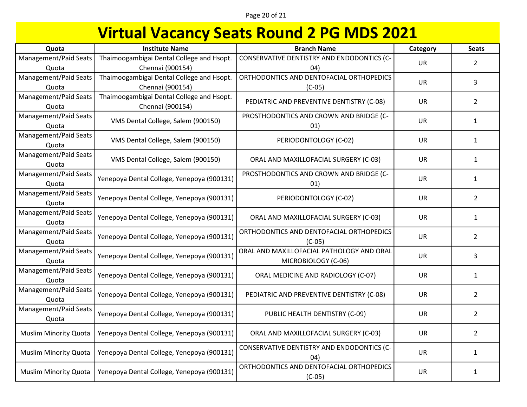Page 20 of 21

| Quota                        | <b>Institute Name</b>                      | <b>Branch Name</b>                         | Category  | <b>Seats</b>   |
|------------------------------|--------------------------------------------|--------------------------------------------|-----------|----------------|
| Management/Paid Seats        | Thaimoogambigai Dental College and Hsopt.  | CONSERVATIVE DENTISTRY AND ENDODONTICS (C- | <b>UR</b> | $\overline{2}$ |
| Quota                        | Chennai (900154)                           | (04)                                       |           |                |
| Management/Paid Seats        | Thaimoogambigai Dental College and Hsopt.  | ORTHODONTICS AND DENTOFACIAL ORTHOPEDICS   | <b>UR</b> | 3              |
| Quota                        | Chennai (900154)                           | $(C-05)$                                   |           |                |
| Management/Paid Seats        | Thaimoogambigai Dental College and Hsopt.  | PEDIATRIC AND PREVENTIVE DENTISTRY (C-08)  | <b>UR</b> | $\overline{2}$ |
| Quota                        | Chennai (900154)                           |                                            |           |                |
| Management/Paid Seats        | VMS Dental College, Salem (900150)         | PROSTHODONTICS AND CROWN AND BRIDGE (C-    | UR        | $\mathbf{1}$   |
| Quota                        |                                            | 01)                                        |           |                |
| Management/Paid Seats        | VMS Dental College, Salem (900150)         | PERIODONTOLOGY (C-02)                      | UR        | $\mathbf{1}$   |
| Quota                        |                                            |                                            |           |                |
| Management/Paid Seats        |                                            |                                            | <b>UR</b> | $\mathbf{1}$   |
| Quota                        | VMS Dental College, Salem (900150)         | ORAL AND MAXILLOFACIAL SURGERY (C-03)      |           |                |
| Management/Paid Seats        |                                            | PROSTHODONTICS AND CROWN AND BRIDGE (C-    | <b>UR</b> |                |
| Quota                        | Yenepoya Dental College, Yenepoya (900131) | 01)                                        |           | $\mathbf{1}$   |
| Management/Paid Seats        |                                            | PERIODONTOLOGY (C-02)                      | <b>UR</b> | $\overline{2}$ |
| Quota                        | Yenepoya Dental College, Yenepoya (900131) |                                            |           |                |
| Management/Paid Seats        |                                            |                                            |           |                |
| Quota                        | Yenepoya Dental College, Yenepoya (900131) | ORAL AND MAXILLOFACIAL SURGERY (C-03)      | <b>UR</b> | 1              |
| Management/Paid Seats        |                                            | ORTHODONTICS AND DENTOFACIAL ORTHOPEDICS   |           |                |
| Quota                        | Yenepoya Dental College, Yenepoya (900131) | $(C-05)$                                   | <b>UR</b> | $\overline{2}$ |
| Management/Paid Seats        |                                            | ORAL AND MAXILLOFACIAL PATHOLOGY AND ORAL  |           |                |
| Quota                        | Yenepoya Dental College, Yenepoya (900131) | MICROBIOLOGY (C-06)                        | <b>UR</b> | 3              |
| Management/Paid Seats        |                                            |                                            |           |                |
| Quota                        | Yenepoya Dental College, Yenepoya (900131) | ORAL MEDICINE AND RADIOLOGY (C-07)         | UR        | $\mathbf{1}$   |
| Management/Paid Seats        |                                            |                                            |           |                |
| Quota                        | Yenepoya Dental College, Yenepoya (900131) | PEDIATRIC AND PREVENTIVE DENTISTRY (C-08)  | <b>UR</b> | $\overline{2}$ |
| Management/Paid Seats        |                                            |                                            |           |                |
| Quota                        | Yenepoya Dental College, Yenepoya (900131) | PUBLIC HEALTH DENTISTRY (C-09)             | <b>UR</b> | $\overline{2}$ |
|                              |                                            |                                            |           |                |
| <b>Muslim Minority Quota</b> | Yenepoya Dental College, Yenepoya (900131) | ORAL AND MAXILLOFACIAL SURGERY (C-03)      | <b>UR</b> | $\overline{2}$ |
|                              |                                            | CONSERVATIVE DENTISTRY AND ENDODONTICS (C- |           |                |
| <b>Muslim Minority Quota</b> | Yenepoya Dental College, Yenepoya (900131) | 04)                                        | <b>UR</b> | 1              |
|                              |                                            | ORTHODONTICS AND DENTOFACIAL ORTHOPEDICS   | <b>UR</b> |                |
| <b>Muslim Minority Quota</b> | Yenepoya Dental College, Yenepoya (900131) | $(C-05)$                                   |           | $\mathbf{1}$   |